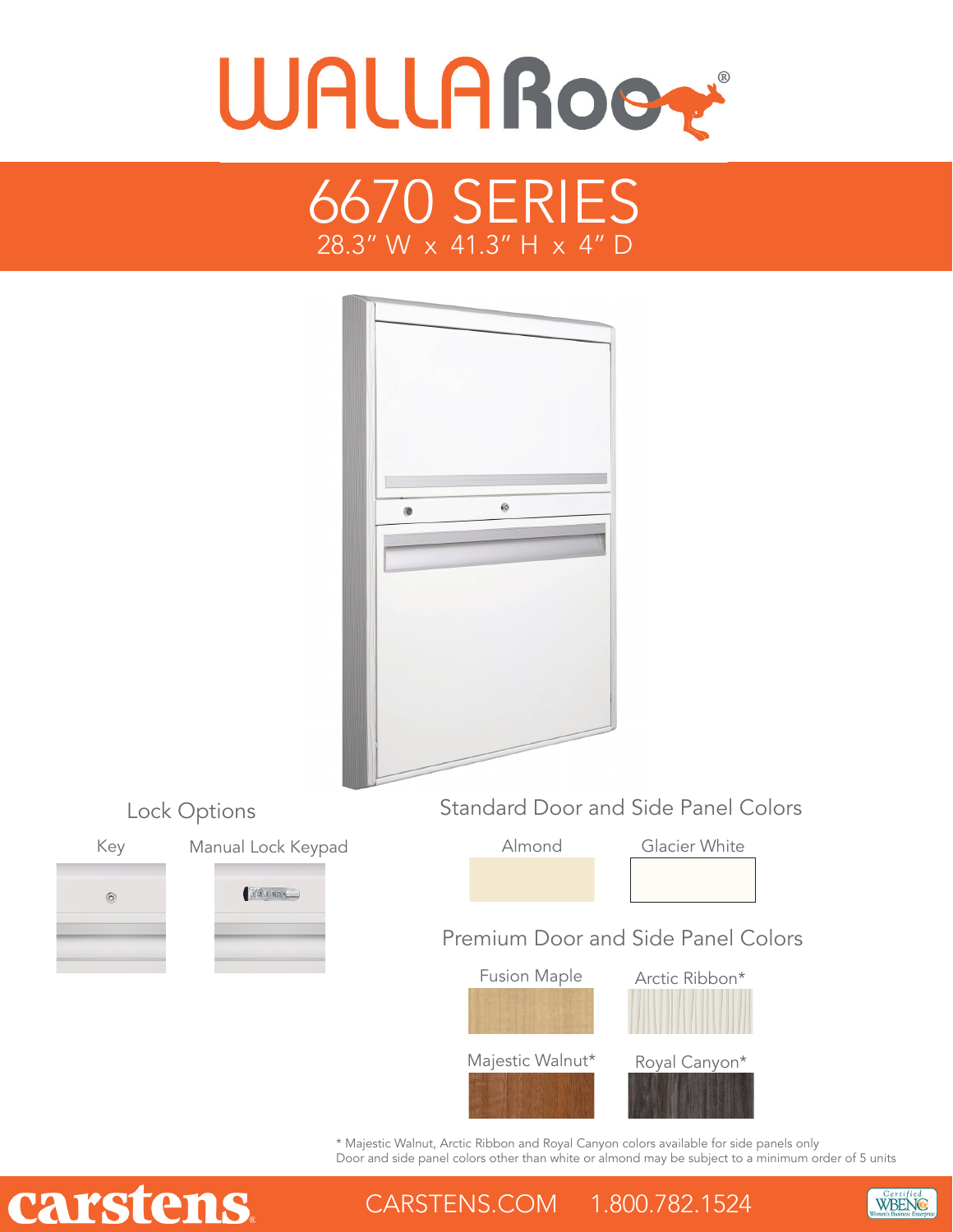





\* Majestic Walnut, Arctic Ribbon and Royal Canyon colors available for side panels only Door and side panel colors other than white or almond may be subject to a minimum order of 5 units

WBENG

# carstens

 $\circledcirc$ 

CARSTENS.COM 1.800.782.1524